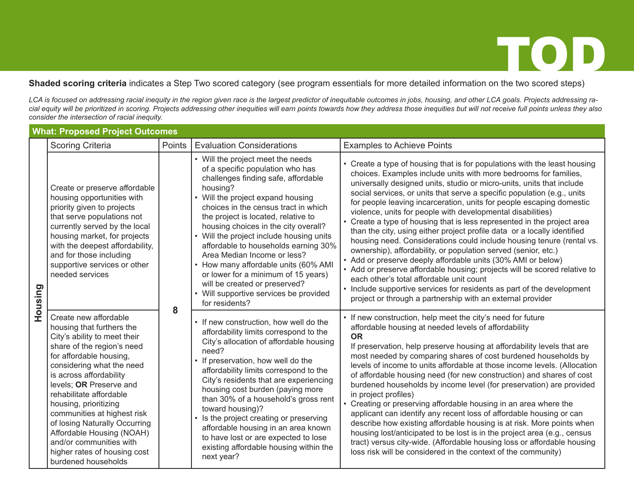### **Shaded scoring criteria** indicates a Step Two scored category (see program essentials for more detailed information on the two scored steps)

*LCA is focused on addressing racial inequity in the region given race is the largest predictor of inequitable outcomes in jobs, housing, and other LCA goals. Projects addressing racial equity will be prioritized in scoring. Projects addressing other inequities will earn points towards how they address those inequities but will not receive full points unless they also consider the intersection of racial inequity.*

|         | <b>What: Proposed Project Outcomes</b>                                                                                                                                                                                                                                                                                                                                                                                                                            |        |                                                                                                                                                                                                                                                                                                                                                                                                                                                                                                                                                                                     |                                                                                                                                                                                                                                                                                                                                                                                                                                                                                                                                                                                                                                                                                                                                                                                                                                                                                                                                                                                                                                                                             |  |  |  |  |
|---------|-------------------------------------------------------------------------------------------------------------------------------------------------------------------------------------------------------------------------------------------------------------------------------------------------------------------------------------------------------------------------------------------------------------------------------------------------------------------|--------|-------------------------------------------------------------------------------------------------------------------------------------------------------------------------------------------------------------------------------------------------------------------------------------------------------------------------------------------------------------------------------------------------------------------------------------------------------------------------------------------------------------------------------------------------------------------------------------|-----------------------------------------------------------------------------------------------------------------------------------------------------------------------------------------------------------------------------------------------------------------------------------------------------------------------------------------------------------------------------------------------------------------------------------------------------------------------------------------------------------------------------------------------------------------------------------------------------------------------------------------------------------------------------------------------------------------------------------------------------------------------------------------------------------------------------------------------------------------------------------------------------------------------------------------------------------------------------------------------------------------------------------------------------------------------------|--|--|--|--|
|         | <b>Scoring Criteria</b>                                                                                                                                                                                                                                                                                                                                                                                                                                           | Points | <b>Evaluation Considerations</b>                                                                                                                                                                                                                                                                                                                                                                                                                                                                                                                                                    | <b>Examples to Achieve Points</b>                                                                                                                                                                                                                                                                                                                                                                                                                                                                                                                                                                                                                                                                                                                                                                                                                                                                                                                                                                                                                                           |  |  |  |  |
| Housing | Create or preserve affordable<br>housing opportunities with<br>priority given to projects<br>that serve populations not<br>currently served by the local<br>housing market, for projects<br>with the deepest affordability,<br>and for those including<br>supportive services or other<br>needed services                                                                                                                                                         | 8      | • Will the project meet the needs<br>of a specific population who has<br>challenges finding safe, affordable<br>housing?<br>• Will the project expand housing<br>choices in the census tract in which<br>the project is located, relative to<br>housing choices in the city overall?<br>• Will the project include housing units<br>affordable to households earning 30%<br>Area Median Income or less?<br>• How many affordable units (60% AMI<br>or lower for a minimum of 15 years)<br>will be created or preserved?<br>• Will supportive services be provided<br>for residents? | • Create a type of housing that is for populations with the least housing<br>choices. Examples include units with more bedrooms for families,<br>universally designed units, studio or micro-units, units that include<br>social services, or units that serve a specific population (e.g., units<br>for people leaving incarceration, units for people escaping domestic<br>violence, units for people with developmental disabilities)<br>• Create a type of housing that is less represented in the project area<br>than the city, using either project profile data or a locally identified<br>housing need. Considerations could include housing tenure (rental vs.<br>ownership), affordability, or population served (senior, etc.)<br>• Add or preserve deeply affordable units (30% AMI or below)<br>• Add or preserve affordable housing; projects will be scored relative to<br>each other's total affordable unit count<br>• Include supportive services for residents as part of the development<br>project or through a partnership with an external provider |  |  |  |  |
|         | Create new affordable<br>housing that furthers the<br>City's ability to meet their<br>share of the region's need<br>for affordable housing,<br>considering what the need<br>is across affordability<br>levels; OR Preserve and<br>rehabilitate affordable<br>housing, prioritizing<br>communities at highest risk<br>of losing Naturally Occurring<br>Affordable Housing (NOAH)<br>and/or communities with<br>higher rates of housing cost<br>burdened households |        | • If new construction, how well do the<br>affordability limits correspond to the<br>City's allocation of affordable housing<br>need?<br>• If preservation, how well do the<br>affordability limits correspond to the<br>City's residents that are experiencing<br>housing cost burden (paying more<br>than 30% of a household's gross rent<br>toward housing)?<br>• Is the project creating or preserving<br>affordable housing in an area known<br>to have lost or are expected to lose<br>existing affordable housing within the<br>next year?                                    | • If new construction, help meet the city's need for future<br>affordable housing at needed levels of affordability<br><b>OR</b><br>If preservation, help preserve housing at affordability levels that are<br>most needed by comparing shares of cost burdened households by<br>levels of income to units affordable at those income levels. (Allocation<br>of affordable housing need (for new construction) and shares of cost<br>burdened households by income level (for preservation) are provided<br>in project profiles)<br>• Creating or preserving affordable housing in an area where the<br>applicant can identify any recent loss of affordable housing or can<br>describe how existing affordable housing is at risk. More points when<br>housing lost/anticipated to be lost is in the project area (e.g., census<br>tract) versus city-wide. (Affordable housing loss or affordable housing<br>loss risk will be considered in the context of the community)                                                                                                |  |  |  |  |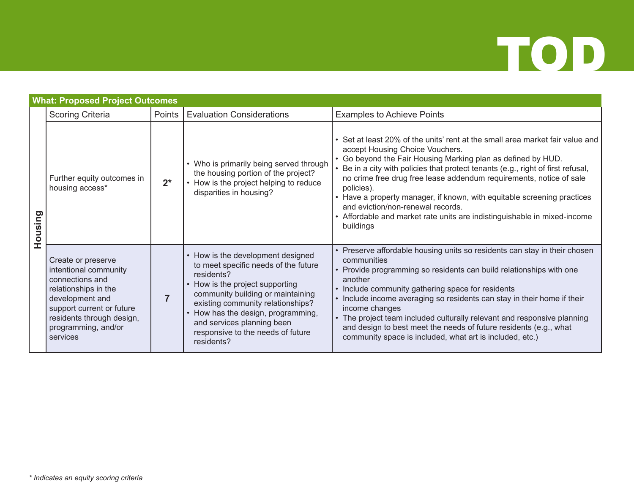

|         | <b>What: Proposed Project Outcomes</b>                                                                                                                                                                 |        |                                                                                                                                                                                                                                                                                                                             |                                                                                                                                                                                                                                                                                                                                                                                                                                                                                                                                                                    |  |  |  |  |
|---------|--------------------------------------------------------------------------------------------------------------------------------------------------------------------------------------------------------|--------|-----------------------------------------------------------------------------------------------------------------------------------------------------------------------------------------------------------------------------------------------------------------------------------------------------------------------------|--------------------------------------------------------------------------------------------------------------------------------------------------------------------------------------------------------------------------------------------------------------------------------------------------------------------------------------------------------------------------------------------------------------------------------------------------------------------------------------------------------------------------------------------------------------------|--|--|--|--|
|         | <b>Scoring Criteria</b>                                                                                                                                                                                | Points | <b>Evaluation Considerations</b>                                                                                                                                                                                                                                                                                            | <b>Examples to Achieve Points</b>                                                                                                                                                                                                                                                                                                                                                                                                                                                                                                                                  |  |  |  |  |
| Housing | Further equity outcomes in<br>housing access*                                                                                                                                                          | $2^*$  | • Who is primarily being served through<br>the housing portion of the project?<br>• How is the project helping to reduce<br>disparities in housing?                                                                                                                                                                         | • Set at least 20% of the units' rent at the small area market fair value and<br>accept Housing Choice Vouchers.<br>• Go beyond the Fair Housing Marking plan as defined by HUD.<br>• Be in a city with policies that protect tenants (e.g., right of first refusal,<br>no crime free drug free lease addendum requirements, notice of sale<br>policies).<br>• Have a property manager, if known, with equitable screening practices<br>and eviction/non-renewal records.<br>• Affordable and market rate units are indistinguishable in mixed-income<br>buildings |  |  |  |  |
|         | Create or preserve<br>intentional community<br>connections and<br>relationships in the<br>development and<br>support current or future<br>residents through design,<br>programming, and/or<br>services |        | • How is the development designed<br>to meet specific needs of the future<br>residents?<br>• How is the project supporting<br>community building or maintaining<br>existing community relationships?<br>• How has the design, programming,<br>and services planning been<br>responsive to the needs of future<br>residents? | • Preserve affordable housing units so residents can stay in their chosen<br>communities<br>• Provide programming so residents can build relationships with one<br>another<br>• Include community gathering space for residents<br>• Include income averaging so residents can stay in their home if their<br>income changes<br>• The project team included culturally relevant and responsive planning<br>and design to best meet the needs of future residents (e.g., what<br>community space is included, what art is included, etc.)                           |  |  |  |  |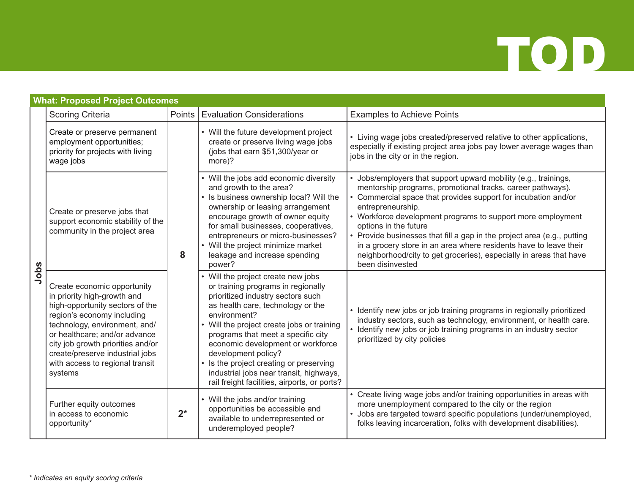|      | <b>What: Proposed Project Outcomes</b>                                                                                                                                                                                                                                                                              |        |                                                                                                                                                                                                                                                                                                                                                                                                                                                          |                                                                                                                                                                                                                                                                                                                                                                                                                                                                                                                                                      |  |  |  |  |
|------|---------------------------------------------------------------------------------------------------------------------------------------------------------------------------------------------------------------------------------------------------------------------------------------------------------------------|--------|----------------------------------------------------------------------------------------------------------------------------------------------------------------------------------------------------------------------------------------------------------------------------------------------------------------------------------------------------------------------------------------------------------------------------------------------------------|------------------------------------------------------------------------------------------------------------------------------------------------------------------------------------------------------------------------------------------------------------------------------------------------------------------------------------------------------------------------------------------------------------------------------------------------------------------------------------------------------------------------------------------------------|--|--|--|--|
|      | <b>Scoring Criteria</b>                                                                                                                                                                                                                                                                                             | Points | <b>Evaluation Considerations</b>                                                                                                                                                                                                                                                                                                                                                                                                                         | <b>Examples to Achieve Points</b>                                                                                                                                                                                                                                                                                                                                                                                                                                                                                                                    |  |  |  |  |
| Jobs | Create or preserve permanent<br>employment opportunities;<br>priority for projects with living<br>wage jobs                                                                                                                                                                                                         | 8      | • Will the future development project<br>create or preserve living wage jobs<br>(jobs that earn \$51,300/year or<br>more)?                                                                                                                                                                                                                                                                                                                               | • Living wage jobs created/preserved relative to other applications,<br>especially if existing project area jobs pay lower average wages than<br>jobs in the city or in the region.                                                                                                                                                                                                                                                                                                                                                                  |  |  |  |  |
|      | Create or preserve jobs that<br>support economic stability of the<br>community in the project area                                                                                                                                                                                                                  |        | • Will the jobs add economic diversity<br>and growth to the area?<br>• Is business ownership local? Will the<br>ownership or leasing arrangement<br>encourage growth of owner equity<br>for small businesses, cooperatives,<br>entrepreneurs or micro-businesses?<br>• Will the project minimize market<br>leakage and increase spending<br>power?                                                                                                       | • Jobs/employers that support upward mobility (e.g., trainings,<br>mentorship programs, promotional tracks, career pathways).<br>Commercial space that provides support for incubation and/or<br>entrepreneurship.<br>• Workforce development programs to support more employment<br>options in the future<br>• Provide businesses that fill a gap in the project area (e.g., putting<br>in a grocery store in an area where residents have to leave their<br>neighborhood/city to get groceries), especially in areas that have<br>been disinvested |  |  |  |  |
|      | Create economic opportunity<br>in priority high-growth and<br>high-opportunity sectors of the<br>region's economy including<br>technology, environment, and/<br>or healthcare; and/or advance<br>city job growth priorities and/or<br>create/preserve industrial jobs<br>with access to regional transit<br>systems |        | • Will the project create new jobs<br>or training programs in regionally<br>prioritized industry sectors such<br>as health care, technology or the<br>environment?<br>• Will the project create jobs or training<br>programs that meet a specific city<br>economic development or workforce<br>development policy?<br>• Is the project creating or preserving<br>industrial jobs near transit, highways,<br>rail freight facilities, airports, or ports? | • Identify new jobs or job training programs in regionally prioritized<br>industry sectors, such as technology, environment, or health care.<br>• Identify new jobs or job training programs in an industry sector<br>prioritized by city policies                                                                                                                                                                                                                                                                                                   |  |  |  |  |
|      | Further equity outcomes<br>in access to economic<br>opportunity*                                                                                                                                                                                                                                                    | $2^*$  | • Will the jobs and/or training<br>opportunities be accessible and<br>available to underrepresented or<br>underemployed people?                                                                                                                                                                                                                                                                                                                          | • Create living wage jobs and/or training opportunities in areas with<br>more unemployment compared to the city or the region<br>· Jobs are targeted toward specific populations (under/unemployed,<br>folks leaving incarceration, folks with development disabilities).                                                                                                                                                                                                                                                                            |  |  |  |  |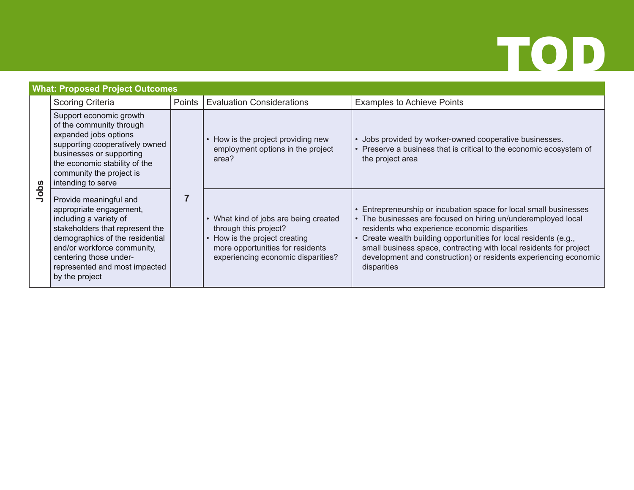### **What: Proposed Project Outcomes Jobs** Scoring Criteria **Points | Evaluation Considerations** | Examples to Achieve Points Support economic growth of the community through expanded jobs options supporting cooperatively owned businesses or supporting the economic stability of the community the project is intending to serve **7** • How is the project providing new employment options in the project area? • Jobs provided by worker-owned cooperative businesses. Preserve a business that is critical to the economic ecosystem of the project area Provide meaningful and appropriate engagement, including a variety of stakeholders that represent the demographics of the residential and/or workforce community, centering those underrepresented and most impacted by the project • What kind of jobs are being created through this project? • How is the project creating more opportunities for residents experiencing economic disparities? • Entrepreneurship or incubation space for local small businesses The businesses are focused on hiring un/underemployed local residents who experience economic disparities • Create wealth building opportunities for local residents (e.g., small business space, contracting with local residents for project development and construction) or residents experiencing economic disparities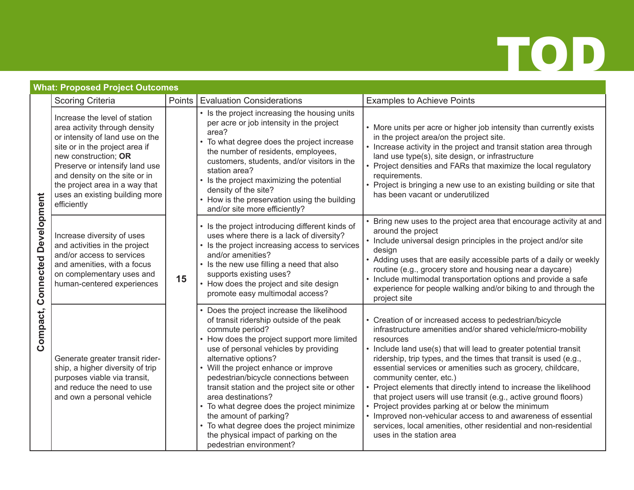### **What: Proposed Project Outcomes**

|                              | <b>Scoring Criteria</b>                                                                                                                                                                                                                                                                                           | Points                                                                                                                                                                                                                                                                                                                                                                                                                                                                                                                                                                    | <b>Evaluation Considerations</b>                                                                                                                                                                                                                                                                                                                                                                                                                                                                                                                                                                                                                                                                                                        | <b>Examples to Achieve Points</b>                                                                                                                                                                                                                                                                                                                                                                                                                              |
|------------------------------|-------------------------------------------------------------------------------------------------------------------------------------------------------------------------------------------------------------------------------------------------------------------------------------------------------------------|---------------------------------------------------------------------------------------------------------------------------------------------------------------------------------------------------------------------------------------------------------------------------------------------------------------------------------------------------------------------------------------------------------------------------------------------------------------------------------------------------------------------------------------------------------------------------|-----------------------------------------------------------------------------------------------------------------------------------------------------------------------------------------------------------------------------------------------------------------------------------------------------------------------------------------------------------------------------------------------------------------------------------------------------------------------------------------------------------------------------------------------------------------------------------------------------------------------------------------------------------------------------------------------------------------------------------------|----------------------------------------------------------------------------------------------------------------------------------------------------------------------------------------------------------------------------------------------------------------------------------------------------------------------------------------------------------------------------------------------------------------------------------------------------------------|
| <b>Connected Development</b> | Increase the level of station<br>area activity through density<br>or intensity of land use on the<br>site or in the project area if<br>new construction; OR<br>Preserve or intensify land use<br>and density on the site or in<br>the project area in a way that<br>uses an existing building more<br>efficiently | 15                                                                                                                                                                                                                                                                                                                                                                                                                                                                                                                                                                        | • Is the project increasing the housing units<br>per acre or job intensity in the project<br>area?<br>• To what degree does the project increase<br>the number of residents, employees,<br>customers, students, and/or visitors in the<br>station area?<br>• Is the project maximizing the potential<br>density of the site?<br>• How is the preservation using the building<br>and/or site more efficiently?                                                                                                                                                                                                                                                                                                                           | • More units per acre or higher job intensity than currently exists<br>in the project area/on the project site.<br>• Increase activity in the project and transit station area through<br>land use type(s), site design, or infrastructure<br>• Project densities and FARs that maximize the local regulatory<br>requirements.<br>• Project is bringing a new use to an existing building or site that<br>has been vacant or underutilized                     |
|                              | Increase diversity of uses<br>and activities in the project<br>and/or access to services<br>and amenities, with a focus<br>on complementary uses and<br>human-centered experiences                                                                                                                                |                                                                                                                                                                                                                                                                                                                                                                                                                                                                                                                                                                           | • Is the project introducing different kinds of<br>uses where there is a lack of diversity?<br>• Is the project increasing access to services<br>and/or amenities?<br>• Is the new use filling a need that also<br>supports existing uses?<br>• How does the project and site design<br>promote easy multimodal access?                                                                                                                                                                                                                                                                                                                                                                                                                 | • Bring new uses to the project area that encourage activity at and<br>around the project<br>• Include universal design principles in the project and/or site<br>design<br>• Adding uses that are easily accessible parts of a daily or weekly<br>routine (e.g., grocery store and housing near a daycare)<br>• Include multimodal transportation options and provide a safe<br>experience for people walking and/or biking to and through the<br>project site |
| Compact,                     | Generate greater transit rider-<br>ship, a higher diversity of trip<br>purposes viable via transit,<br>and reduce the need to use<br>and own a personal vehicle                                                                                                                                                   | Does the project increase the likelihood<br>of transit ridership outside of the peak<br>commute period?<br>How does the project support more limited<br>use of personal vehicles by providing<br>alternative options?<br>• Will the project enhance or improve<br>pedestrian/bicycle connections between<br>transit station and the project site or other<br>area destinations?<br>• To what degree does the project minimize<br>the amount of parking?<br>• To what degree does the project minimize<br>the physical impact of parking on the<br>pedestrian environment? | • Creation of or increased access to pedestrian/bicycle<br>infrastructure amenities and/or shared vehicle/micro-mobility<br>resources<br>• Include land use(s) that will lead to greater potential transit<br>ridership, trip types, and the times that transit is used (e.g.,<br>essential services or amenities such as grocery, childcare,<br>community center, etc.)<br>• Project elements that directly intend to increase the likelihood<br>that project users will use transit (e.g., active ground floors)<br>Project provides parking at or below the minimum<br>• Improved non-vehicular access to and awareness of essential<br>services, local amenities, other residential and non-residential<br>uses in the station area |                                                                                                                                                                                                                                                                                                                                                                                                                                                                |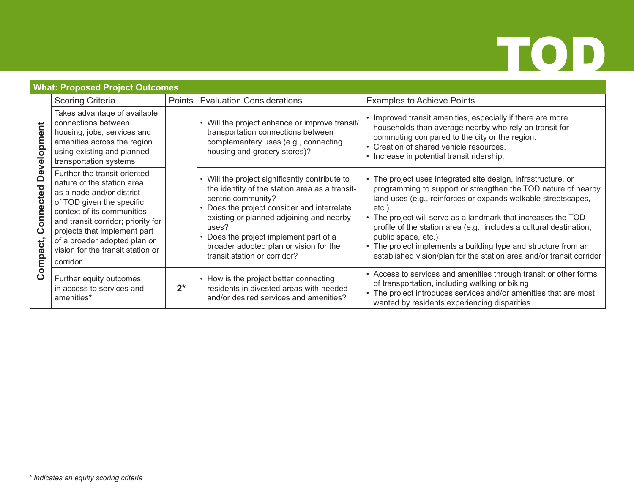### **What: Proposed Project Outcomes**

|                                   | <b>Scoring Criteria</b>                                                                                                                                                                                                                                                                                   | Points | <b>Evaluation Considerations</b>                                                                                                                                                                                                                                                                                                             | <b>Examples to Achieve Points</b>                                                                                                                                                                                                                                                                                                                                                                                                                                                                                    |
|-----------------------------------|-----------------------------------------------------------------------------------------------------------------------------------------------------------------------------------------------------------------------------------------------------------------------------------------------------------|--------|----------------------------------------------------------------------------------------------------------------------------------------------------------------------------------------------------------------------------------------------------------------------------------------------------------------------------------------------|----------------------------------------------------------------------------------------------------------------------------------------------------------------------------------------------------------------------------------------------------------------------------------------------------------------------------------------------------------------------------------------------------------------------------------------------------------------------------------------------------------------------|
| velopment                         | Takes advantage of available<br>connections between<br>housing, jobs, services and<br>amenities across the region<br>using existing and planned<br>transportation systems                                                                                                                                 |        | Will the project enhance or improve transit/<br>transportation connections between<br>complementary uses (e.g., connecting<br>housing and grocery stores)?                                                                                                                                                                                   | • Improved transit amenities, especially if there are more<br>households than average nearby who rely on transit for<br>commuting compared to the city or the region.<br>• Creation of shared vehicle resources.<br>• Increase in potential transit ridership.                                                                                                                                                                                                                                                       |
| ِ<br>ه<br>nected<br>Conr<br>pact. | Further the transit-oriented<br>nature of the station area<br>as a node and/or district<br>of TOD given the specific<br>context of its communities<br>and transit corridor; priority for<br>projects that implement part<br>of a broader adopted plan or<br>vision for the transit station or<br>corridor |        | • Will the project significantly contribute to<br>the identity of the station area as a transit-<br>centric community?<br>• Does the project consider and interrelate<br>existing or planned adjoining and nearby<br>uses?<br>Does the project implement part of a<br>broader adopted plan or vision for the<br>transit station or corridor? | • The project uses integrated site design, infrastructure, or<br>programming to support or strengthen the TOD nature of nearby<br>land uses (e.g., reinforces or expands walkable streetscapes,<br>$etc.$ )<br>• The project will serve as a landmark that increases the TOD<br>profile of the station area (e.g., includes a cultural destination,<br>public space, etc.)<br>• The project implements a building type and structure from an<br>established vision/plan for the station area and/or transit corridor |
| Com                               | Further equity outcomes<br>in access to services and<br>amenities*                                                                                                                                                                                                                                        | $2^*$  | • How is the project better connecting<br>residents in divested areas with needed<br>and/or desired services and amenities?                                                                                                                                                                                                                  | • Access to services and amenities through transit or other forms<br>of transportation, including walking or biking<br>• The project introduces services and/or amenities that are most<br>wanted by residents experiencing disparities                                                                                                                                                                                                                                                                              |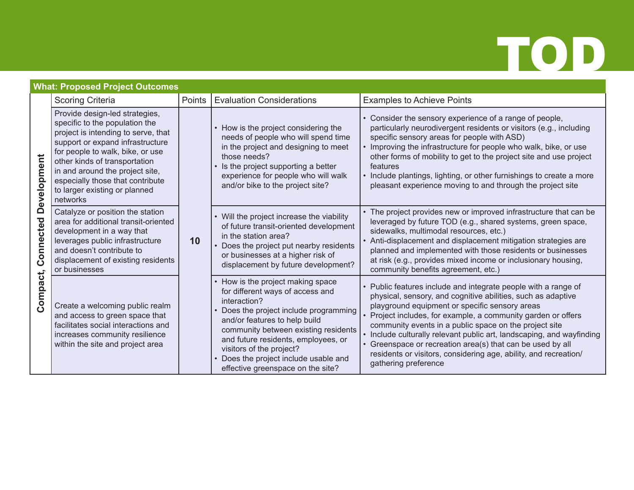### **What: Proposed Project Outcomes**

|                                      | <b>Scoring Criteria</b>                                                                                                                                                                                                                                                                                                              | Points | <b>Evaluation Considerations</b>                                                                                                                                                                                                                                                                                                                      | <b>Examples to Achieve Points</b>                                                                                                                                                                                                                                                                                                                                                                                                                                                                                                      |
|--------------------------------------|--------------------------------------------------------------------------------------------------------------------------------------------------------------------------------------------------------------------------------------------------------------------------------------------------------------------------------------|--------|-------------------------------------------------------------------------------------------------------------------------------------------------------------------------------------------------------------------------------------------------------------------------------------------------------------------------------------------------------|----------------------------------------------------------------------------------------------------------------------------------------------------------------------------------------------------------------------------------------------------------------------------------------------------------------------------------------------------------------------------------------------------------------------------------------------------------------------------------------------------------------------------------------|
| Development<br>Connected<br>Compact, | Provide design-led strategies,<br>specific to the population the<br>project is intending to serve, that<br>support or expand infrastructure<br>for people to walk, bike, or use<br>other kinds of transportation<br>in and around the project site,<br>especially those that contribute<br>to larger existing or planned<br>networks | 10     | • How is the project considering the<br>needs of people who will spend time<br>in the project and designing to meet<br>those needs?<br>Is the project supporting a better<br>experience for people who will walk<br>and/or bike to the project site?                                                                                                  | Consider the sensory experience of a range of people,<br>particularly neurodivergent residents or visitors (e.g., including<br>specific sensory areas for people with ASD)<br>Improving the infrastructure for people who walk, bike, or use<br>other forms of mobility to get to the project site and use project<br>features<br>• Include plantings, lighting, or other furnishings to create a more<br>pleasant experience moving to and through the project site                                                                   |
|                                      | Catalyze or position the station<br>area for additional transit-oriented<br>development in a way that<br>leverages public infrastructure<br>and doesn't contribute to<br>displacement of existing residents<br>or businesses                                                                                                         |        | • Will the project increase the viability<br>of future transit-oriented development<br>in the station area?<br>Does the project put nearby residents<br>or businesses at a higher risk of<br>displacement by future development?                                                                                                                      | • The project provides new or improved infrastructure that can be<br>leveraged by future TOD (e.g., shared systems, green space,<br>sidewalks, multimodal resources, etc.)<br>Anti-displacement and displacement mitigation strategies are<br>planned and implemented with those residents or businesses<br>at risk (e.g., provides mixed income or inclusionary housing,<br>community benefits agreement, etc.)                                                                                                                       |
|                                      | Create a welcoming public realm<br>and access to green space that<br>facilitates social interactions and<br>increases community resilience<br>within the site and project area                                                                                                                                                       |        | • How is the project making space<br>for different ways of access and<br>interaction?<br>Does the project include programming<br>and/or features to help build<br>community between existing residents<br>and future residents, employees, or<br>visitors of the project?<br>Does the project include usable and<br>effective greenspace on the site? | Public features include and integrate people with a range of<br>physical, sensory, and cognitive abilities, such as adaptive<br>playground equipment or specific sensory areas<br>Project includes, for example, a community garden or offers<br>community events in a public space on the project site<br>Include culturally relevant public art, landscaping, and wayfinding<br>Greenspace or recreation area(s) that can be used by all<br>residents or visitors, considering age, ability, and recreation/<br>gathering preference |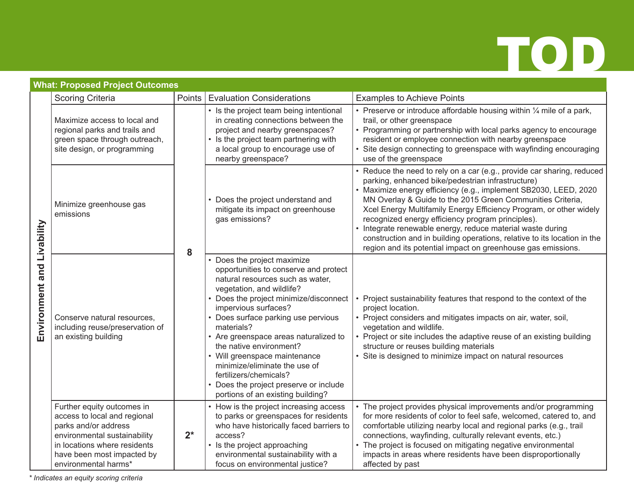| <b>What: Proposed Project Outcomes</b> |                                                                                                                                                                                                          |        |                                                                                                                                                                                                                                                                                                                                                                                                                                                                                                           |                                                                                                                                                                                                                                                                                                                                                                                                                                                                                                                                                                                                  |  |  |  |
|----------------------------------------|----------------------------------------------------------------------------------------------------------------------------------------------------------------------------------------------------------|--------|-----------------------------------------------------------------------------------------------------------------------------------------------------------------------------------------------------------------------------------------------------------------------------------------------------------------------------------------------------------------------------------------------------------------------------------------------------------------------------------------------------------|--------------------------------------------------------------------------------------------------------------------------------------------------------------------------------------------------------------------------------------------------------------------------------------------------------------------------------------------------------------------------------------------------------------------------------------------------------------------------------------------------------------------------------------------------------------------------------------------------|--|--|--|
|                                        | <b>Scoring Criteria</b>                                                                                                                                                                                  | Points | <b>Evaluation Considerations</b>                                                                                                                                                                                                                                                                                                                                                                                                                                                                          | <b>Examples to Achieve Points</b>                                                                                                                                                                                                                                                                                                                                                                                                                                                                                                                                                                |  |  |  |
| Environment and Livability             | Maximize access to local and<br>regional parks and trails and<br>green space through outreach,<br>site design, or programming                                                                            | 8      | • Is the project team being intentional<br>in creating connections between the<br>project and nearby greenspaces?<br>• Is the project team partnering with<br>a local group to encourage use of<br>nearby greenspace?                                                                                                                                                                                                                                                                                     | • Preserve or introduce affordable housing within $\frac{1}{4}$ mile of a park,<br>trail, or other greenspace<br>• Programming or partnership with local parks agency to encourage<br>resident or employee connection with nearby greenspace<br>Site design connecting to greenspace with wayfinding encouraging<br>use of the greenspace                                                                                                                                                                                                                                                        |  |  |  |
|                                        | Minimize greenhouse gas<br>emissions                                                                                                                                                                     |        | • Does the project understand and<br>mitigate its impact on greenhouse<br>gas emissions?                                                                                                                                                                                                                                                                                                                                                                                                                  | • Reduce the need to rely on a car (e.g., provide car sharing, reduced<br>parking, enhanced bike/pedestrian infrastructure)<br>Maximize energy efficiency (e.g., implement SB2030, LEED, 2020<br>MN Overlay & Guide to the 2015 Green Communities Criteria,<br>Xcel Energy Multifamily Energy Efficiency Program, or other widely<br>recognized energy efficiency program principles).<br>• Integrate renewable energy, reduce material waste during<br>construction and in building operations, relative to its location in the<br>region and its potential impact on greenhouse gas emissions. |  |  |  |
|                                        | Conserve natural resources,<br>including reuse/preservation of<br>an existing building                                                                                                                   |        | Does the project maximize<br>opportunities to conserve and protect<br>natural resources such as water,<br>vegetation, and wildlife?<br>• Does the project minimize/disconnect<br>impervious surfaces?<br>• Does surface parking use pervious<br>materials?<br>• Are greenspace areas naturalized to<br>the native environment?<br>• Will greenspace maintenance<br>minimize/eliminate the use of<br>fertilizers/chemicals?<br>• Does the project preserve or include<br>portions of an existing building? | Project sustainability features that respond to the context of the<br>project location.<br>• Project considers and mitigates impacts on air, water, soil,<br>vegetation and wildlife.<br>• Project or site includes the adaptive reuse of an existing building<br>structure or reuses building materials<br>Site is designed to minimize impact on natural resources                                                                                                                                                                                                                             |  |  |  |
|                                        | Further equity outcomes in<br>access to local and regional<br>parks and/or address<br>environmental sustainability<br>in locations where residents<br>have been most impacted by<br>environmental harms* | $2^*$  | How is the project increasing access<br>to parks or greenspaces for residents<br>who have historically faced barriers to<br>access?<br>• Is the project approaching<br>environmental sustainability with a<br>focus on environmental justice?                                                                                                                                                                                                                                                             | The project provides physical improvements and/or programming<br>for more residents of color to feel safe, welcomed, catered to, and<br>comfortable utilizing nearby local and regional parks (e.g., trail<br>connections, wayfinding, culturally relevant events, etc.)<br>• The project is focused on mitigating negative environmental<br>impacts in areas where residents have been disproportionally<br>affected by past                                                                                                                                                                    |  |  |  |

*\* Indicates an equity scoring criteria*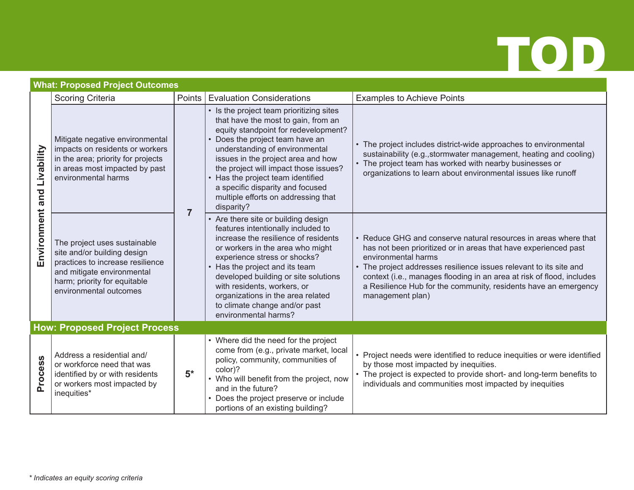|                 | What: Proposed Project Outcomes                                                                                                                                                         |                |                                                                                                                                                                                                                                                                                                                                                                                                     |                                                                                                                                                                                                                                                                                                                                                                                                 |
|-----------------|-----------------------------------------------------------------------------------------------------------------------------------------------------------------------------------------|----------------|-----------------------------------------------------------------------------------------------------------------------------------------------------------------------------------------------------------------------------------------------------------------------------------------------------------------------------------------------------------------------------------------------------|-------------------------------------------------------------------------------------------------------------------------------------------------------------------------------------------------------------------------------------------------------------------------------------------------------------------------------------------------------------------------------------------------|
|                 | <b>Scoring Criteria</b>                                                                                                                                                                 | Points         | <b>Evaluation Considerations</b>                                                                                                                                                                                                                                                                                                                                                                    | <b>Examples to Achieve Points</b>                                                                                                                                                                                                                                                                                                                                                               |
| Livability      | Mitigate negative environmental<br>impacts on residents or workers<br>in the area; priority for projects<br>in areas most impacted by past<br>environmental harms                       | $\overline{7}$ | Is the project team prioritizing sites<br>that have the most to gain, from an<br>equity standpoint for redevelopment?<br>Does the project team have an<br>understanding of environmental<br>issues in the project area and how<br>the project will impact those issues?<br>Has the project team identified<br>a specific disparity and focused<br>multiple efforts on addressing that<br>disparity? | • The project includes district-wide approaches to environmental<br>sustainability (e.g., stormwater management, heating and cooling)<br>• The project team has worked with nearby businesses or<br>organizations to learn about environmental issues like runoff                                                                                                                               |
| Environment and | The project uses sustainable<br>site and/or building design<br>practices to increase resilience<br>and mitigate environmental<br>harm; priority for equitable<br>environmental outcomes |                | Are there site or building design<br>features intentionally included to<br>increase the resilience of residents<br>or workers in the area who might<br>experience stress or shocks?<br>Has the project and its team<br>developed building or site solutions<br>with residents, workers, or<br>organizations in the area related<br>to climate change and/or past<br>environmental harms?            | • Reduce GHG and conserve natural resources in areas where that<br>has not been prioritized or in areas that have experienced past<br>environmental harms<br>• The project addresses resilience issues relevant to its site and<br>context (i.e., manages flooding in an area at risk of flood, includes<br>a Resilience Hub for the community, residents have an emergency<br>management plan) |
|                 | <b>How: Proposed Project Process</b>                                                                                                                                                    |                |                                                                                                                                                                                                                                                                                                                                                                                                     |                                                                                                                                                                                                                                                                                                                                                                                                 |
| Process         | Address a residential and/<br>or workforce need that was<br>identified by or with residents<br>or workers most impacted by<br>inequities*                                               | $5*$           | • Where did the need for the project<br>come from (e.g., private market, local<br>policy, community, communities of<br>color)?<br>• Who will benefit from the project, now<br>and in the future?<br>• Does the project preserve or include<br>portions of an existing building?                                                                                                                     | • Project needs were identified to reduce inequities or were identified<br>by those most impacted by inequities.<br>• The project is expected to provide short- and long-term benefits to<br>individuals and communities most impacted by inequities                                                                                                                                            |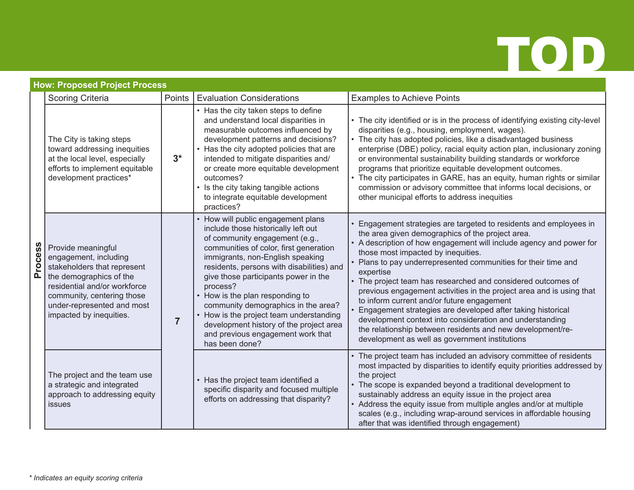|                | How: Proposed Project Process                                                                                                                                                                                                |                |                                                                                                                                                                                                                                                                                                                                                                                                                                                                                                             |                                                                                                                                                                                                                                                                                                                                                                                                                                                                                                                                                                                                                                                                                                                                                     |  |  |  |
|----------------|------------------------------------------------------------------------------------------------------------------------------------------------------------------------------------------------------------------------------|----------------|-------------------------------------------------------------------------------------------------------------------------------------------------------------------------------------------------------------------------------------------------------------------------------------------------------------------------------------------------------------------------------------------------------------------------------------------------------------------------------------------------------------|-----------------------------------------------------------------------------------------------------------------------------------------------------------------------------------------------------------------------------------------------------------------------------------------------------------------------------------------------------------------------------------------------------------------------------------------------------------------------------------------------------------------------------------------------------------------------------------------------------------------------------------------------------------------------------------------------------------------------------------------------------|--|--|--|
|                | <b>Scoring Criteria</b>                                                                                                                                                                                                      | Points         | <b>Evaluation Considerations</b>                                                                                                                                                                                                                                                                                                                                                                                                                                                                            | <b>Examples to Achieve Points</b>                                                                                                                                                                                                                                                                                                                                                                                                                                                                                                                                                                                                                                                                                                                   |  |  |  |
| <b>Process</b> | The City is taking steps<br>toward addressing inequities<br>at the local level, especially<br>efforts to implement equitable<br>development practices*                                                                       | $3^*$          | • Has the city taken steps to define<br>and understand local disparities in<br>measurable outcomes influenced by<br>development patterns and decisions?<br>• Has the city adopted policies that are<br>intended to mitigate disparities and/<br>or create more equitable development<br>outcomes?<br>• Is the city taking tangible actions<br>to integrate equitable development<br>practices?                                                                                                              | • The city identified or is in the process of identifying existing city-level<br>disparities (e.g., housing, employment, wages).<br>• The city has adopted policies, like a disadvantaged business<br>enterprise (DBE) policy, racial equity action plan, inclusionary zoning<br>or environmental sustainability building standards or workforce<br>programs that prioritize equitable development outcomes.<br>• The city participates in GARE, has an equity, human rights or similar<br>commission or advisory committee that informs local decisions, or<br>other municipal efforts to address inequities                                                                                                                                       |  |  |  |
|                | Provide meaningful<br>engagement, including<br>stakeholders that represent<br>the demographics of the<br>residential and/or workforce<br>community, centering those<br>under-represented and most<br>impacted by inequities. | $\overline{7}$ | How will public engagement plans<br>include those historically left out<br>of community engagement (e.g.,<br>communities of color, first generation<br>immigrants, non-English speaking<br>residents, persons with disabilities) and<br>give those participants power in the<br>process?<br>How is the plan responding to<br>community demographics in the area?<br>How is the project team understanding<br>development history of the project area<br>and previous engagement work that<br>has been done? | • Engagement strategies are targeted to residents and employees in<br>the area given demographics of the project area.<br>• A description of how engagement will include agency and power for<br>those most impacted by inequities.<br>• Plans to pay underrepresented communities for their time and<br>expertise<br>• The project team has researched and considered outcomes of<br>previous engagement activities in the project area and is using that<br>to inform current and/or future engagement<br>Engagement strategies are developed after taking historical<br>development context into consideration and understanding<br>the relationship between residents and new development/re-<br>development as well as government institutions |  |  |  |
|                | The project and the team use<br>a strategic and integrated<br>approach to addressing equity<br>issues                                                                                                                        |                | Has the project team identified a<br>specific disparity and focused multiple<br>efforts on addressing that disparity?                                                                                                                                                                                                                                                                                                                                                                                       | • The project team has included an advisory committee of residents<br>most impacted by disparities to identify equity priorities addressed by<br>the project<br>• The scope is expanded beyond a traditional development to<br>sustainably address an equity issue in the project area<br>• Address the equity issue from multiple angles and/or at multiple<br>scales (e.g., including wrap-around services in affordable housing<br>after that was identified through engagement)                                                                                                                                                                                                                                                                 |  |  |  |